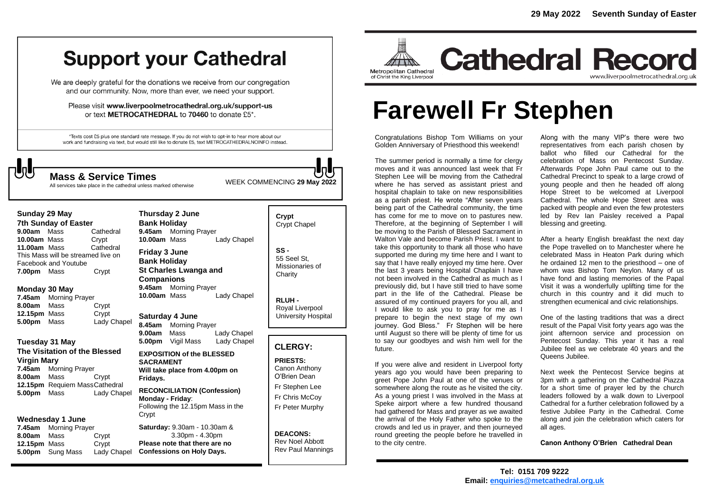# **Support your Cathedral**

We are deeply grateful for the donations we receive from our congregation and our community. Now, more than ever, we need your support.

Please visit www.liverpoolmetrocathedral.org.uk/support-us or text METROCATHEDRAL to 70460 to donate £5\*.

\*Texts cost £5 plus one standard rate message. If you do not wish to opt-in to hear more about our work and fundraising via text, but would still like to donate £5, text METROCATHEDRALNOINFO instead.

WEEK COMMENCING **<sup>29</sup> May <sup>2022</sup> Mass & Service Times** All services take place in the cathedral unless marked otherwise

| Sunday 29 May                      |  |           |
|------------------------------------|--|-----------|
| <b>7th Sunday of Easter</b>        |  |           |
| 9.00am Mass                        |  | Cathedral |
| 10.00am Mass                       |  | Crypt     |
| 11.00am Mass                       |  | Cathedral |
| This Mass will be streamed live on |  |           |
| Facebook and Youtube               |  |           |
| 7.00pm Mass                        |  | Crypt     |

#### **Monday 30 May**

**7.45am** Morning Prayer **8.00am** Mass Crypt **12.15pm** Mass Crypt<br> **5.00pm** Mass Lady Chapel **5.00pm** Mass

#### **Tuesday 31 May**

**The Visitation of the Blessed Virgin Mary 7.45am** Morning Prayer

**8.00am** Mass Crypt **12.15pm** Requiem MassCathedral **5.00pm** Mass Lady Chapel

#### **Wednesday 1 June**

**7.45am** Morning Prayer **8.00am** Mass Crypt **12.15pm** Mass Crypt **5.00pm** Sung Mass Lady Chapel

**Thursday 2 June Bank Holiday 9.45am** Morning Prayer **10.00am** Mass Lady Chapel **Friday 3 June Bank Holiday St Charles Lwanga and Companions 9.45am** Morning Prayer **10.00am** Mass Lady Chapel

**Saturday 4 June 8.45am** Morning Prayer **9.00am** Mass Lady Chapel **5.00pm** Vigil Mass Lady Chapel

#### **EXPOSITION of the BLESSED SACRAMENT Will take place from 4.00pm on Fridays.**

**RECONCILIATION (Confession) Monday - Friday**: Following the 12.15pm Mass in the Crypt

**Saturday:** 9.30am - 10.30am & 3.30pm - 4.30pm **Please note that there are no Confessions on Holy Days.**

## **Crypt**  Crypt Chapel

**SS -** 55 Seel St, Missionaries of **Charity** 

**RLUH -** Royal Liverpool University Hospital

#### **CLERGY:**

**PRIESTS:** Canon Anthony O'Brien *Dean*

Fr Stephen Lee Fr Chris McCoy Fr Peter Murphy

**DEACONS:** Rev Noel Abbott Rev Paul Mannings



**Cathedral Record** www.liverpoolmetrocathedral.org.uk

# **Farewell Fr Stephen**

Congratulations Bishop Tom Williams on your Golden Anniversary of Priesthood this weekend!

The summer period is normally a time for clergy moves and it was announced last week that Fr Stephen Lee will be moving from the Cathedral where he has served as assistant priest and hospital chaplain to take on new responsibilities as a parish priest. He wrote "After seven years being part of the Cathedral community, the time has come for me to move on to pastures new. Therefore, at the beginning of September I will be moving to the Parish of Blessed Sacrament in Walton Vale and become Parish Priest. I want to take this opportunity to thank all those who have supported me during my time here and I want to say that I have really enjoyed my time here. Over the last 3 years being Hospital Chaplain I have not been involved in the Cathedral as much as I previously did, but I have still tried to have some part in the life of the Cathedral. Please be assured of my continued prayers for you all, and I would like to ask you to pray for me as I prepare to begin the next stage of my own journey. God Bless." Fr Stephen will be here until August so there will be plenty of time for us to say our goodbyes and wish him well for the future.

If you were alive and resident in Liverpool forty years ago you would have been preparing to greet Pope John Paul at one of the venues or somewhere along the route as he visited the city. As a young priest I was involved in the Mass at Speke airport where a few hundred thousand had gathered for Mass and prayer as we awaited the arrival of the Holy Father who spoke to the crowds and led us in prayer, and then journeyed round greeting the people before he travelled in to the city centre.

Along with the many VIP's there were two representatives from each parish chosen by ballot who filled our Cathedral for the celebration of Mass on Pentecost Sunday. Afterwards Pope John Paul came out to the Cathedral Precinct to speak to a large crowd of young people and then he headed off along Hope Street to be welcomed at Liverpool Cathedral. The whole Hope Street area was packed with people and even the few protesters led by Rev Ian Paisley received a Papal blessing and greeting.

After a hearty English breakfast the next day the Pope travelled on to Manchester where he celebrated Mass in Heaton Park during which he ordained 12 men to the priesthood – one of whom was Bishop Tom Neylon. Many of us have fond and lasting memories of the Papal Visit it was a wonderfully uplifting time for the church in this country and it did much to strengthen ecumenical and civic relationships.

One of the lasting traditions that was a direct result of the Papal Visit forty years ago was the joint afternoon service and procession on Pentecost Sunday. This year it has a real Jubilee feel as we celebrate 40 years and the Queens Jubilee.

Next week the Pentecost Service begins at 3pm with a gathering on the Cathedral Piazza for a short time of prayer led by the church leaders followed by a walk down to Liverpool Cathedral for a further celebration followed by a festive Jubilee Party in the Cathedral. Come along and join the celebration which caters for all ages.

**Canon Anthony O'Brien Cathedral Dean**